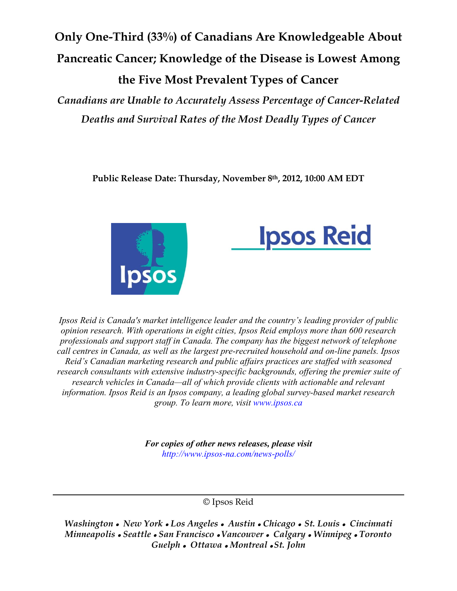Only One-Third (33%) of Canadians Are Knowledgeable About Pancreatic Cancer; Knowledge of the Disease is Lowest Among the Five Most Prevalent Types of Cancer

Canadians are Unable to Accurately Assess Percentage of Cancer-Related Deaths and Survival Rates of the Most Deadly Types of Cancer

Public Release Date: Thursday, November 8th, 2012, 10:00 AM EDT





Ipsos Reid is Canada's market intelligence leader and the country's leading provider of public opinion research. With operations in eight cities, Ipsos Reid employs more than 600 research professionals and support staff in Canada. The company has the biggest network of telephone call centres in Canada, as well as the largest pre-recruited household and on-line panels. Ipsos Reid's Canadian marketing research and public affairs practices are staffed with seasoned research consultants with extensive industry-specific backgrounds, offering the premier suite of research vehicles in Canada—all of which provide clients with actionable and relevant information. Ipsos Reid is an Ipsos company, a leading global survey-based market research group. To learn more, visit www.ipsos.ca

> For copies of other news releases, please visit http://www.ipsos-na.com/news-polls/

> > © Ipsos Reid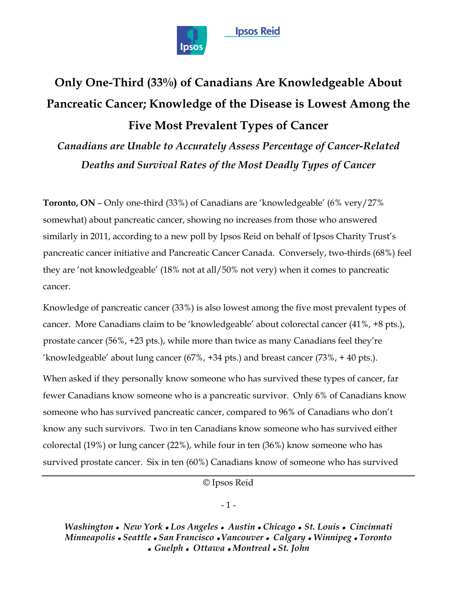

# Only One-Third (33%) of Canadians Are Knowledgeable About Pancreatic Cancer; Knowledge of the Disease is Lowest Among the **Five Most Prevalent Types of Cancer**

Canadians are Unable to Accurately Assess Percentage of Cancer-Related Deaths and Survival Rates of the Most Deadly Types of Cancer

**Toronto, ON - Only one-third (33%) of Canadians are 'knowledgeable' (6% very/27%)** somewhat) about pancreatic cancer, showing no increases from those who answered similarly in 2011, according to a new poll by Ipsos Reid on behalf of Ipsos Charity Trust's pancreatic cancer initiative and Pancreatic Cancer Canada. Conversely, two-thirds (68%) feel they are 'not knowledgeable' (18% not at all/50% not very) when it comes to pancreatic cancer.

Knowledge of pancreatic cancer (33%) is also lowest among the five most prevalent types of cancer. More Canadians claim to be 'knowledgeable' about colorectal cancer (41%, +8 pts.), prostate cancer (56%, +23 pts.), while more than twice as many Canadians feel they're 'knowledgeable' about lung cancer  $(67\%$ , +34 pts.) and breast cancer  $(73\%$ , +40 pts.).

When asked if they personally know someone who has survived these types of cancer, far fewer Canadians know someone who is a pancreatic survivor. Only 6% of Canadians know someone who has survived pancreatic cancer, compared to 96% of Canadians who don't know any such survivors. Two in ten Canadians know someone who has survived either colorectal  $(19\%)$  or lung cancer  $(22\%)$ , while four in ten  $(36\%)$  know someone who has survived prostate cancer. Six in ten (60%) Canadians know of someone who has survived

© Ipsos Reid

#### $-1-$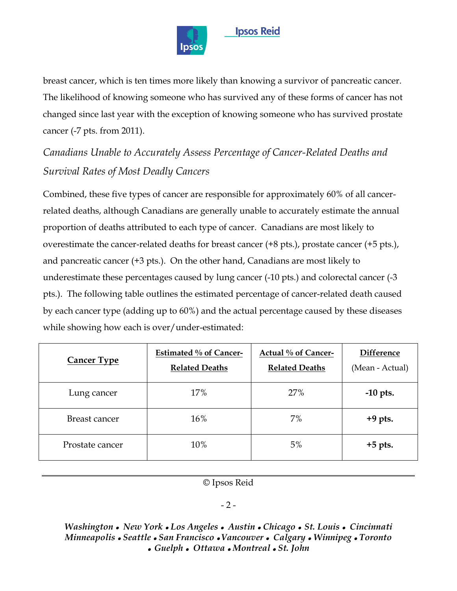

# **Ipsos Reid**

breast cancer, which is ten times more likely than knowing a survivor of pancreatic cancer. The likelihood of knowing someone who has survived any of these forms of cancer has not changed since last year with the exception of knowing someone who has survived prostate cancer (-7 pts. from 2011).

# Canadians Unable to Accurately Assess Percentage of Cancer-Related Deaths and *Survival Rates of Most Deadly Cancers*

Combined, these five types of cancer are responsible for approximately 60% of all cancerrelated deaths, although Canadians are generally unable to accurately estimate the annual proportion of deaths attributed to each type of cancer. Canadians are most likely to overestimate the cancer-related deaths for breast cancer  $(+8 \text{ pts.})$ , prostate cancer  $(+5 \text{ pts.})$ , and pancreatic cancer (+3 pts.). On the other hand, Canadians are most likely to underestimate these percentages caused by lung cancer (-10 pts.) and colorectal cancer (-3 pts.). The following table outlines the estimated percentage of cancer-related death caused by each cancer type (adding up to 60%) and the actual percentage caused by these diseases while showing how each is over/under-estimated:

| <b>Cancer Type</b> | Estimated % of Cancer-<br><b>Related Deaths</b> | Actual % of Cancer-<br><b>Related Deaths</b> | <b>Difference</b><br>(Mean - Actual) |
|--------------------|-------------------------------------------------|----------------------------------------------|--------------------------------------|
| Lung cancer        | 17%                                             | 27%                                          | $-10$ pts.                           |
| Breast cancer      | 16%                                             | 7%                                           | $+9$ pts.                            |
| Prostate cancer    | 10%                                             | 5%                                           | $+5$ pts.                            |

© Ipsos Reid

#### $-2-$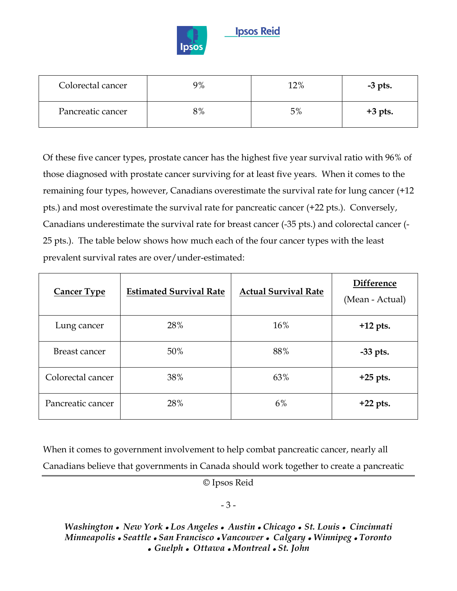

| Colorectal cancer | 9% | 12% | $-3$ pts. |
|-------------------|----|-----|-----------|
| Pancreatic cancer | 8% | 5%  | $+3$ pts. |

Of these five cancer types, prostate cancer has the highest five year survival ratio with 96% of those diagnosed with prostate cancer surviving for at least five years. When it comes to the remaining four types, however, Canadians overestimate the survival rate for lung cancer (+12) pts.) and most overestimate the survival rate for pancreatic cancer (+22 pts.). Conversely, Canadians underestimate the survival rate for breast cancer (-35 pts.) and colorectal cancer (-25 pts.). The table below shows how much each of the four cancer types with the least prevalent survival rates are over/under-estimated:

| <b>Cancer Type</b> | <b>Estimated Survival Rate</b> | <b>Actual Survival Rate</b> | Difference<br>(Mean - Actual) |
|--------------------|--------------------------------|-----------------------------|-------------------------------|
| Lung cancer        | 28%                            | 16%                         | $+12$ pts.                    |
| Breast cancer      | 50%                            | 88%                         | $-33$ pts.                    |
| Colorectal cancer  | 38%                            | 63%                         | $+25$ pts.                    |
| Pancreatic cancer  | 28%                            | 6%                          | $+22$ pts.                    |

When it comes to government involvement to help combat pancreatic cancer, nearly all Canadians believe that governments in Canada should work together to create a pancreatic

© Ipsos Reid

#### $-3-$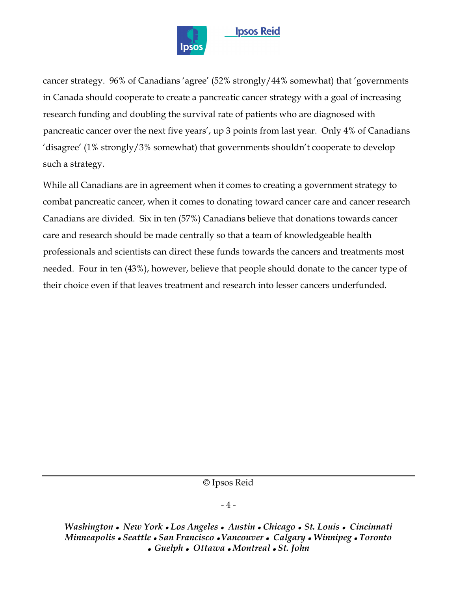

### **Ipsos Reid**

cancer strategy. 96% of Canadians 'agree' (52% strongly/44% somewhat) that 'governments in Canada should cooperate to create a pancreatic cancer strategy with a goal of increasing research funding and doubling the survival rate of patients who are diagnosed with pancreatic cancer over the next five years', up 3 points from last year. Only 4% of Canadians 'disagree' (1% strongly/3% somewhat) that governments shouldn't cooperate to develop such a strategy.

While all Canadians are in agreement when it comes to creating a government strategy to combat pancreatic cancer, when it comes to donating toward cancer care and cancer research Canadians are divided. Six in ten (57%) Canadians believe that donations towards cancer care and research should be made centrally so that a team of knowledgeable health professionals and scientists can direct these funds towards the cancers and treatments most needed. Four in ten (43%), however, believe that people should donate to the cancer type of their choice even if that leaves treatment and research into lesser cancers underfunded.

© Ipsos Reid

#### $-4-$